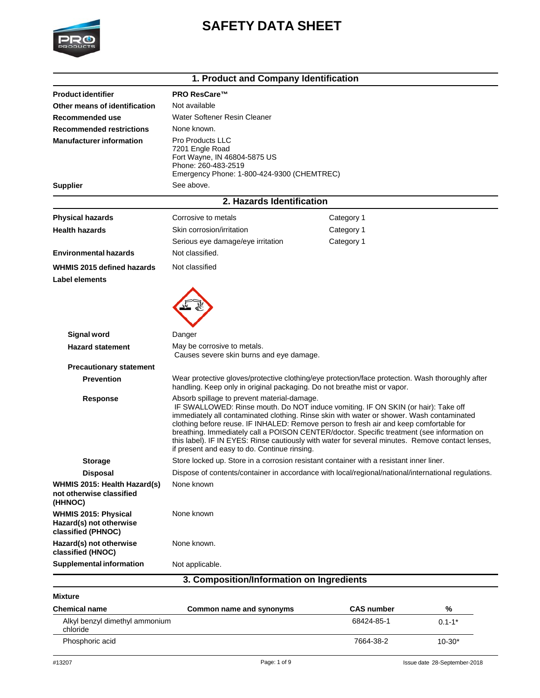

# **SAFETY DATA SHEET**

|                                                                              | 1. Product and Company Identification                                                                                                           |                                                                                                                                                                                                                                                                                                                                                                                                                                                                            |  |
|------------------------------------------------------------------------------|-------------------------------------------------------------------------------------------------------------------------------------------------|----------------------------------------------------------------------------------------------------------------------------------------------------------------------------------------------------------------------------------------------------------------------------------------------------------------------------------------------------------------------------------------------------------------------------------------------------------------------------|--|
| <b>Product identifier</b>                                                    | <b>PRO ResCare™</b>                                                                                                                             |                                                                                                                                                                                                                                                                                                                                                                                                                                                                            |  |
| Other means of identification                                                | Not available                                                                                                                                   |                                                                                                                                                                                                                                                                                                                                                                                                                                                                            |  |
| Recommended use                                                              | Water Softener Resin Cleaner                                                                                                                    |                                                                                                                                                                                                                                                                                                                                                                                                                                                                            |  |
| <b>Recommended restrictions</b>                                              | None known.                                                                                                                                     |                                                                                                                                                                                                                                                                                                                                                                                                                                                                            |  |
| <b>Manufacturer information</b>                                              | <b>Pro Products LLC</b><br>7201 Engle Road<br>Fort Wayne, IN 46804-5875 US<br>Phone: 260-483-2519<br>Emergency Phone: 1-800-424-9300 (CHEMTREC) |                                                                                                                                                                                                                                                                                                                                                                                                                                                                            |  |
| <b>Supplier</b>                                                              | See above.                                                                                                                                      |                                                                                                                                                                                                                                                                                                                                                                                                                                                                            |  |
|                                                                              | 2. Hazards Identification                                                                                                                       |                                                                                                                                                                                                                                                                                                                                                                                                                                                                            |  |
| <b>Physical hazards</b>                                                      | Corrosive to metals                                                                                                                             | Category 1                                                                                                                                                                                                                                                                                                                                                                                                                                                                 |  |
| <b>Health hazards</b>                                                        | Skin corrosion/irritation                                                                                                                       | Category 1                                                                                                                                                                                                                                                                                                                                                                                                                                                                 |  |
|                                                                              | Serious eye damage/eye irritation                                                                                                               | Category 1                                                                                                                                                                                                                                                                                                                                                                                                                                                                 |  |
| <b>Environmental hazards</b>                                                 | Not classified.                                                                                                                                 |                                                                                                                                                                                                                                                                                                                                                                                                                                                                            |  |
| WHMIS 2015 defined hazards                                                   | Not classified                                                                                                                                  |                                                                                                                                                                                                                                                                                                                                                                                                                                                                            |  |
| <b>Label elements</b>                                                        |                                                                                                                                                 |                                                                                                                                                                                                                                                                                                                                                                                                                                                                            |  |
| <b>Signal word</b><br><b>Hazard statement</b>                                | Danger<br>May be corrosive to metals.                                                                                                           |                                                                                                                                                                                                                                                                                                                                                                                                                                                                            |  |
| <b>Precautionary statement</b>                                               | Causes severe skin burns and eye damage.                                                                                                        |                                                                                                                                                                                                                                                                                                                                                                                                                                                                            |  |
| <b>Prevention</b>                                                            | handling. Keep only in original packaging. Do not breathe mist or vapor.                                                                        | Wear protective gloves/protective clothing/eye protection/face protection. Wash thoroughly after                                                                                                                                                                                                                                                                                                                                                                           |  |
| <b>Response</b>                                                              | Absorb spillage to prevent material-damage.<br>if present and easy to do. Continue rinsing.                                                     | IF SWALLOWED: Rinse mouth. Do NOT induce vomiting. IF ON SKIN (or hair): Take off<br>immediately all contaminated clothing. Rinse skin with water or shower. Wash contaminated<br>clothing before reuse. IF INHALED: Remove person to fresh air and keep comfortable for<br>breathing. Immediately call a POISON CENTER/doctor. Specific treatment (see information on<br>this label). IF IN EYES: Rinse cautiously with water for several minutes. Remove contact lenses, |  |
| <b>Storage</b>                                                               |                                                                                                                                                 | Store locked up. Store in a corrosion resistant container with a resistant inner liner.                                                                                                                                                                                                                                                                                                                                                                                    |  |
| <b>Disposal</b>                                                              |                                                                                                                                                 | Dispose of contents/container in accordance with local/regional/national/international regulations.                                                                                                                                                                                                                                                                                                                                                                        |  |
| WHMIS 2015: Health Hazard(s)<br>not otherwise classified<br>(HHNOC)          | None known                                                                                                                                      |                                                                                                                                                                                                                                                                                                                                                                                                                                                                            |  |
| <b>WHMIS 2015: Physical</b><br>Hazard(s) not otherwise<br>classified (PHNOC) | None known                                                                                                                                      |                                                                                                                                                                                                                                                                                                                                                                                                                                                                            |  |
| Hazard(s) not otherwise<br>classified (HNOC)                                 | None known.                                                                                                                                     |                                                                                                                                                                                                                                                                                                                                                                                                                                                                            |  |
| <b>Supplemental information</b>                                              | Not applicable.                                                                                                                                 |                                                                                                                                                                                                                                                                                                                                                                                                                                                                            |  |
|                                                                              | 3. Composition/Information on Ingredients                                                                                                       |                                                                                                                                                                                                                                                                                                                                                                                                                                                                            |  |
| <b>Mixture</b>                                                               |                                                                                                                                                 |                                                                                                                                                                                                                                                                                                                                                                                                                                                                            |  |

| Common name and synonyms | <b>CAS number</b> | %          |
|--------------------------|-------------------|------------|
|                          | 68424-85-1        | $0.1 - 1*$ |
|                          | 7664-38-2         | $10 - 30*$ |
|                          |                   |            |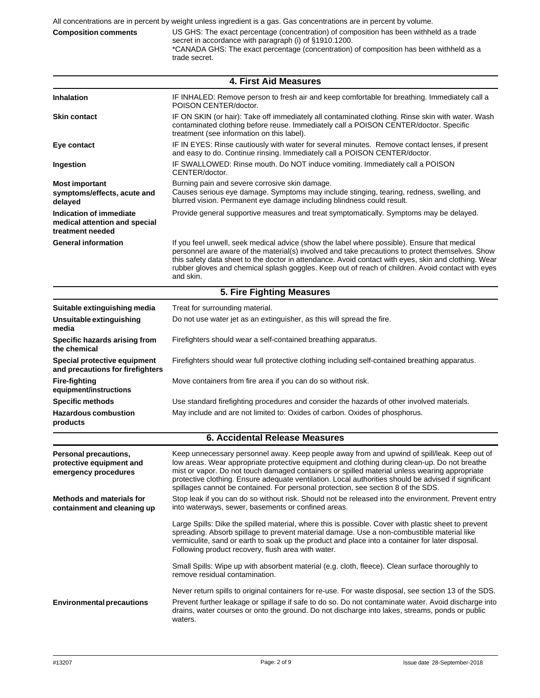**Composition comments** US GHS: The exact percentage (concentration) of composition has been withheld as a trade secret in accordance with paragraph (i) of §1910.1200. \*CANADA GHS: The exact percentage (concentration) of composition has been withheld as a trade secret.

| <b>4. First Aid Measures</b>                                                 |                                                                                                                                                                                                                                                                                                                                                                                                                                                                                             |  |  |  |
|------------------------------------------------------------------------------|---------------------------------------------------------------------------------------------------------------------------------------------------------------------------------------------------------------------------------------------------------------------------------------------------------------------------------------------------------------------------------------------------------------------------------------------------------------------------------------------|--|--|--|
| <b>Inhalation</b>                                                            | IF INHALED: Remove person to fresh air and keep comfortable for breathing. Immediately call a<br>POISON CENTER/doctor.                                                                                                                                                                                                                                                                                                                                                                      |  |  |  |
| <b>Skin contact</b>                                                          | IF ON SKIN (or hair): Take off immediately all contaminated clothing. Rinse skin with water. Wash<br>contaminated clothing before reuse. Immediately call a POISON CENTER/doctor. Specific<br>treatment (see information on this label).                                                                                                                                                                                                                                                    |  |  |  |
| Eye contact                                                                  | IF IN EYES: Rinse cautiously with water for several minutes. Remove contact lenses, if present<br>and easy to do. Continue rinsing. Immediately call a POISON CENTER/doctor.                                                                                                                                                                                                                                                                                                                |  |  |  |
| Ingestion                                                                    | IF SWALLOWED: Rinse mouth. Do NOT induce vomiting. Immediately call a POISON<br>CENTER/doctor.                                                                                                                                                                                                                                                                                                                                                                                              |  |  |  |
| <b>Most important</b><br>symptoms/effects, acute and<br>delayed              | Burning pain and severe corrosive skin damage.<br>Causes serious eye damage. Symptoms may include stinging, tearing, redness, swelling, and<br>blurred vision. Permanent eye damage including blindness could result.                                                                                                                                                                                                                                                                       |  |  |  |
| Indication of immediate<br>medical attention and special<br>treatment needed | Provide general supportive measures and treat symptomatically. Symptoms may be delayed.                                                                                                                                                                                                                                                                                                                                                                                                     |  |  |  |
| <b>General information</b>                                                   | If you feel unwell, seek medical advice (show the label where possible). Ensure that medical<br>personnel are aware of the material(s) involved and take precautions to protect themselves. Show<br>this safety data sheet to the doctor in attendance. Avoid contact with eyes, skin and clothing. Wear<br>rubber gloves and chemical splash goggles. Keep out of reach of children. Avoid contact with eyes<br>and skin.                                                                  |  |  |  |
|                                                                              | 5. Fire Fighting Measures                                                                                                                                                                                                                                                                                                                                                                                                                                                                   |  |  |  |
| Suitable extinguishing media                                                 | Treat for surrounding material.                                                                                                                                                                                                                                                                                                                                                                                                                                                             |  |  |  |
| Unsuitable extinguishing<br>media                                            | Do not use water jet as an extinguisher, as this will spread the fire.                                                                                                                                                                                                                                                                                                                                                                                                                      |  |  |  |
| Specific hazards arising from<br>the chemical                                | Firefighters should wear a self-contained breathing apparatus.                                                                                                                                                                                                                                                                                                                                                                                                                              |  |  |  |
| Special protective equipment<br>and precautions for firefighters             | Firefighters should wear full protective clothing including self-contained breathing apparatus.                                                                                                                                                                                                                                                                                                                                                                                             |  |  |  |
| <b>Fire-fighting</b><br>equipment/instructions                               | Move containers from fire area if you can do so without risk.                                                                                                                                                                                                                                                                                                                                                                                                                               |  |  |  |
| <b>Specific methods</b>                                                      | Use standard firefighting procedures and consider the hazards of other involved materials.                                                                                                                                                                                                                                                                                                                                                                                                  |  |  |  |
| <b>Hazardous combustion</b><br>products                                      | May include and are not limited to: Oxides of carbon. Oxides of phosphorus.                                                                                                                                                                                                                                                                                                                                                                                                                 |  |  |  |
|                                                                              | <b>6. Accidental Release Measures</b>                                                                                                                                                                                                                                                                                                                                                                                                                                                       |  |  |  |
| Personal precautions,<br>protective equipment and<br>emergency procedures    | Keep unnecessary personnel away. Keep people away from and upwind of spill/leak. Keep out of<br>low areas. Wear appropriate protective equipment and clothing during clean-up. Do not breathe<br>mist or vapor. Do not touch damaged containers or spilled material unless wearing appropriate<br>protective clothing. Ensure adequate ventilation. Local authorities should be advised if significant<br>spillages cannot be contained. For personal protection, see section 8 of the SDS. |  |  |  |
| <b>Methods and materials for</b><br>containment and cleaning up              | Stop leak if you can do so without risk. Should not be released into the environment. Prevent entry<br>into waterways, sewer, basements or confined areas.                                                                                                                                                                                                                                                                                                                                  |  |  |  |
|                                                                              | Large Spills: Dike the spilled material, where this is possible. Cover with plastic sheet to prevent<br>spreading. Absorb spillage to prevent material damage. Use a non-combustible material like<br>vermiculite, sand or earth to soak up the product and place into a container for later disposal.<br>Following product recovery, flush area with water.                                                                                                                                |  |  |  |
|                                                                              | Small Spills: Wipe up with absorbent material (e.g. cloth, fleece). Clean surface thoroughly to<br>remove residual contamination.                                                                                                                                                                                                                                                                                                                                                           |  |  |  |
| <b>Environmental precautions</b>                                             | Never return spills to original containers for re-use. For waste disposal, see section 13 of the SDS.<br>Prevent further leakage or spillage if safe to do so. Do not contaminate water. Avoid discharge into<br>drains, water courses or onto the ground. Do not discharge into lakes, streams, ponds or public<br>waters.                                                                                                                                                                 |  |  |  |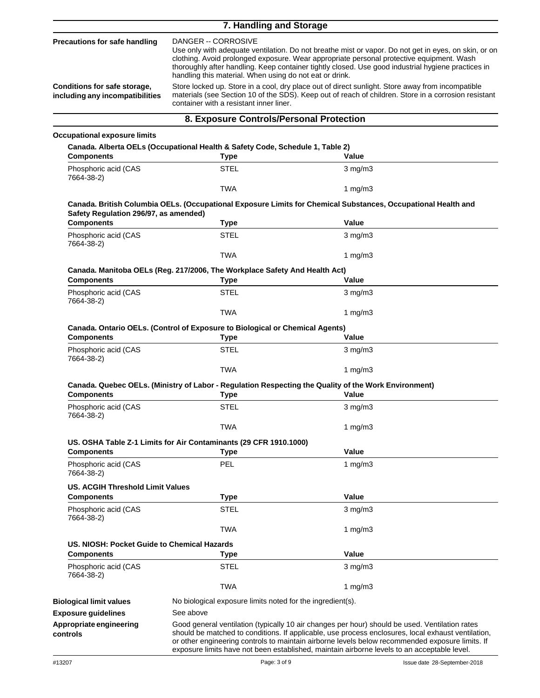|                                                                 | 7. Handling and Storage                                                                                                                                                                                                                                                                                                                                                                                                                                                                                                                                                                                                                         |                                                                                                                                                                                                                                                                                                                                                                                                        |  |
|-----------------------------------------------------------------|-------------------------------------------------------------------------------------------------------------------------------------------------------------------------------------------------------------------------------------------------------------------------------------------------------------------------------------------------------------------------------------------------------------------------------------------------------------------------------------------------------------------------------------------------------------------------------------------------------------------------------------------------|--------------------------------------------------------------------------------------------------------------------------------------------------------------------------------------------------------------------------------------------------------------------------------------------------------------------------------------------------------------------------------------------------------|--|
| <b>Precautions for safe handling</b>                            | DANGER -- CORROSIVE<br>Use only with adequate ventilation. Do not breathe mist or vapor. Do not get in eyes, on skin, or on<br>clothing. Avoid prolonged exposure. Wear appropriate personal protective equipment. Wash<br>thoroughly after handling. Keep container tightly closed. Use good industrial hygiene practices in<br>handling this material. When using do not eat or drink.<br>Store locked up. Store in a cool, dry place out of direct sunlight. Store away from incompatible<br>materials (see Section 10 of the SDS). Keep out of reach of children. Store in a corrosion resistant<br>container with a resistant inner liner. |                                                                                                                                                                                                                                                                                                                                                                                                        |  |
| Conditions for safe storage,<br>including any incompatibilities |                                                                                                                                                                                                                                                                                                                                                                                                                                                                                                                                                                                                                                                 |                                                                                                                                                                                                                                                                                                                                                                                                        |  |
|                                                                 | 8. Exposure Controls/Personal Protection                                                                                                                                                                                                                                                                                                                                                                                                                                                                                                                                                                                                        |                                                                                                                                                                                                                                                                                                                                                                                                        |  |
| <b>Occupational exposure limits</b>                             |                                                                                                                                                                                                                                                                                                                                                                                                                                                                                                                                                                                                                                                 |                                                                                                                                                                                                                                                                                                                                                                                                        |  |
|                                                                 | Canada. Alberta OELs (Occupational Health & Safety Code, Schedule 1, Table 2)                                                                                                                                                                                                                                                                                                                                                                                                                                                                                                                                                                   |                                                                                                                                                                                                                                                                                                                                                                                                        |  |
| <b>Components</b><br>Phosphoric acid (CAS                       | <b>Type</b><br>STEL                                                                                                                                                                                                                                                                                                                                                                                                                                                                                                                                                                                                                             | Value<br>$3$ mg/m $3$                                                                                                                                                                                                                                                                                                                                                                                  |  |
| 7664-38-2)                                                      |                                                                                                                                                                                                                                                                                                                                                                                                                                                                                                                                                                                                                                                 |                                                                                                                                                                                                                                                                                                                                                                                                        |  |
|                                                                 | <b>TWA</b>                                                                                                                                                                                                                                                                                                                                                                                                                                                                                                                                                                                                                                      | 1 $mg/m3$                                                                                                                                                                                                                                                                                                                                                                                              |  |
| Safety Regulation 296/97, as amended)                           |                                                                                                                                                                                                                                                                                                                                                                                                                                                                                                                                                                                                                                                 | Canada. British Columbia OELs. (Occupational Exposure Limits for Chemical Substances, Occupational Health and                                                                                                                                                                                                                                                                                          |  |
| <b>Components</b>                                               | <b>Type</b>                                                                                                                                                                                                                                                                                                                                                                                                                                                                                                                                                                                                                                     | Value                                                                                                                                                                                                                                                                                                                                                                                                  |  |
| Phosphoric acid (CAS<br>7664-38-2)                              | <b>STEL</b>                                                                                                                                                                                                                                                                                                                                                                                                                                                                                                                                                                                                                                     | $3$ mg/m $3$                                                                                                                                                                                                                                                                                                                                                                                           |  |
|                                                                 | <b>TWA</b>                                                                                                                                                                                                                                                                                                                                                                                                                                                                                                                                                                                                                                      | 1 $mg/m3$                                                                                                                                                                                                                                                                                                                                                                                              |  |
| <b>Components</b>                                               | Canada. Manitoba OELs (Reg. 217/2006, The Workplace Safety And Health Act)<br><b>Type</b>                                                                                                                                                                                                                                                                                                                                                                                                                                                                                                                                                       | Value                                                                                                                                                                                                                                                                                                                                                                                                  |  |
| Phosphoric acid (CAS<br>7664-38-2)                              | <b>STEL</b>                                                                                                                                                                                                                                                                                                                                                                                                                                                                                                                                                                                                                                     | $3$ mg/m $3$                                                                                                                                                                                                                                                                                                                                                                                           |  |
|                                                                 | <b>TWA</b>                                                                                                                                                                                                                                                                                                                                                                                                                                                                                                                                                                                                                                      | 1 $mg/m3$                                                                                                                                                                                                                                                                                                                                                                                              |  |
|                                                                 | Canada. Ontario OELs. (Control of Exposure to Biological or Chemical Agents)                                                                                                                                                                                                                                                                                                                                                                                                                                                                                                                                                                    |                                                                                                                                                                                                                                                                                                                                                                                                        |  |
| <b>Components</b>                                               | <b>Type</b>                                                                                                                                                                                                                                                                                                                                                                                                                                                                                                                                                                                                                                     | Value                                                                                                                                                                                                                                                                                                                                                                                                  |  |
| Phosphoric acid (CAS<br>7664-38-2)                              | STEL                                                                                                                                                                                                                                                                                                                                                                                                                                                                                                                                                                                                                                            | $3$ mg/m $3$                                                                                                                                                                                                                                                                                                                                                                                           |  |
|                                                                 | <b>TWA</b>                                                                                                                                                                                                                                                                                                                                                                                                                                                                                                                                                                                                                                      | 1 $mg/m3$                                                                                                                                                                                                                                                                                                                                                                                              |  |
| <b>Components</b>                                               | <b>Type</b>                                                                                                                                                                                                                                                                                                                                                                                                                                                                                                                                                                                                                                     | Canada. Quebec OELs. (Ministry of Labor - Regulation Respecting the Quality of the Work Environment)<br>Value                                                                                                                                                                                                                                                                                          |  |
| Phosphoric acid (CAS                                            | <b>STEL</b>                                                                                                                                                                                                                                                                                                                                                                                                                                                                                                                                                                                                                                     | $3$ mg/m $3$                                                                                                                                                                                                                                                                                                                                                                                           |  |
| 7664-38-2)                                                      | <b>TWA</b>                                                                                                                                                                                                                                                                                                                                                                                                                                                                                                                                                                                                                                      | 1 $mg/m3$                                                                                                                                                                                                                                                                                                                                                                                              |  |
|                                                                 | US. OSHA Table Z-1 Limits for Air Contaminants (29 CFR 1910.1000)                                                                                                                                                                                                                                                                                                                                                                                                                                                                                                                                                                               |                                                                                                                                                                                                                                                                                                                                                                                                        |  |
| <b>Components</b>                                               | <b>Type</b>                                                                                                                                                                                                                                                                                                                                                                                                                                                                                                                                                                                                                                     | Value                                                                                                                                                                                                                                                                                                                                                                                                  |  |
| Phosphoric acid (CAS<br>7664-38-2)                              | <b>PEL</b>                                                                                                                                                                                                                                                                                                                                                                                                                                                                                                                                                                                                                                      | 1 $mg/m3$                                                                                                                                                                                                                                                                                                                                                                                              |  |
| <b>US. ACGIH Threshold Limit Values</b>                         |                                                                                                                                                                                                                                                                                                                                                                                                                                                                                                                                                                                                                                                 |                                                                                                                                                                                                                                                                                                                                                                                                        |  |
| <b>Components</b>                                               | <b>Type</b>                                                                                                                                                                                                                                                                                                                                                                                                                                                                                                                                                                                                                                     | Value                                                                                                                                                                                                                                                                                                                                                                                                  |  |
| Phosphoric acid (CAS<br>7664-38-2)                              | <b>STEL</b>                                                                                                                                                                                                                                                                                                                                                                                                                                                                                                                                                                                                                                     | $3$ mg/m $3$                                                                                                                                                                                                                                                                                                                                                                                           |  |
|                                                                 | TWA                                                                                                                                                                                                                                                                                                                                                                                                                                                                                                                                                                                                                                             | 1 $mg/m3$                                                                                                                                                                                                                                                                                                                                                                                              |  |
| US. NIOSH: Pocket Guide to Chemical Hazards                     |                                                                                                                                                                                                                                                                                                                                                                                                                                                                                                                                                                                                                                                 |                                                                                                                                                                                                                                                                                                                                                                                                        |  |
| <b>Components</b>                                               | <b>Type</b>                                                                                                                                                                                                                                                                                                                                                                                                                                                                                                                                                                                                                                     | Value                                                                                                                                                                                                                                                                                                                                                                                                  |  |
| Phosphoric acid (CAS<br>7664-38-2)                              | <b>STEL</b>                                                                                                                                                                                                                                                                                                                                                                                                                                                                                                                                                                                                                                     | $3$ mg/m $3$                                                                                                                                                                                                                                                                                                                                                                                           |  |
|                                                                 | <b>TWA</b>                                                                                                                                                                                                                                                                                                                                                                                                                                                                                                                                                                                                                                      | 1 $mg/m3$                                                                                                                                                                                                                                                                                                                                                                                              |  |
| <b>Biological limit values</b>                                  | No biological exposure limits noted for the ingredient(s).                                                                                                                                                                                                                                                                                                                                                                                                                                                                                                                                                                                      |                                                                                                                                                                                                                                                                                                                                                                                                        |  |
| <b>Exposure guidelines</b>                                      | See above                                                                                                                                                                                                                                                                                                                                                                                                                                                                                                                                                                                                                                       |                                                                                                                                                                                                                                                                                                                                                                                                        |  |
| Appropriate engineering<br>controls                             |                                                                                                                                                                                                                                                                                                                                                                                                                                                                                                                                                                                                                                                 | Good general ventilation (typically 10 air changes per hour) should be used. Ventilation rates<br>should be matched to conditions. If applicable, use process enclosures, local exhaust ventilation,<br>or other engineering controls to maintain airborne levels below recommended exposure limits. If<br>exposure limits have not been established, maintain airborne levels to an acceptable level. |  |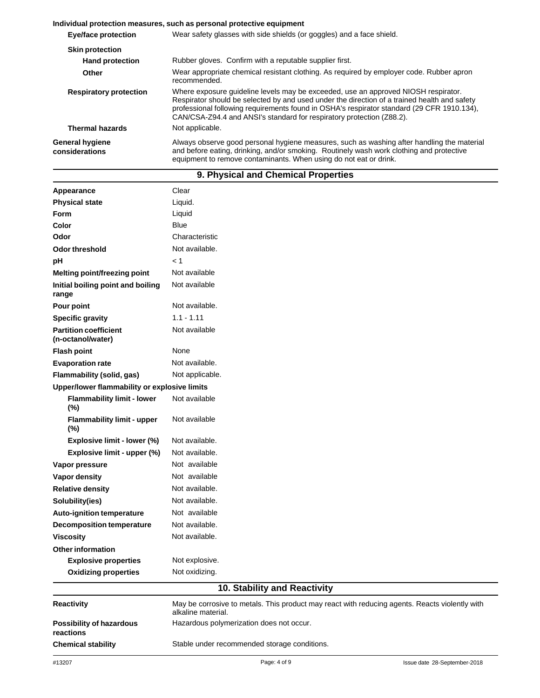|                                          | Individual protection measures, such as personal protective equipment                                                                                                                                                                                                                                                                                     |  |  |  |
|------------------------------------------|-----------------------------------------------------------------------------------------------------------------------------------------------------------------------------------------------------------------------------------------------------------------------------------------------------------------------------------------------------------|--|--|--|
| <b>Eye/face protection</b>               | Wear safety glasses with side shields (or goggles) and a face shield.                                                                                                                                                                                                                                                                                     |  |  |  |
| <b>Skin protection</b>                   |                                                                                                                                                                                                                                                                                                                                                           |  |  |  |
| <b>Hand protection</b>                   | Rubber gloves. Confirm with a reputable supplier first.                                                                                                                                                                                                                                                                                                   |  |  |  |
| Other                                    | Wear appropriate chemical resistant clothing. As required by employer code. Rubber apron<br>recommended.                                                                                                                                                                                                                                                  |  |  |  |
| <b>Respiratory protection</b>            | Where exposure quideline levels may be exceeded, use an approved NIOSH respirator.<br>Respirator should be selected by and used under the direction of a trained health and safety<br>professional following requirements found in OSHA's respirator standard (29 CFR 1910.134),<br>CAN/CSA-Z94.4 and ANSI's standard for respiratory protection (Z88.2). |  |  |  |
| <b>Thermal hazards</b>                   | Not applicable.                                                                                                                                                                                                                                                                                                                                           |  |  |  |
| <b>General hygiene</b><br>considerations | Always observe good personal hygiene measures, such as washing after handling the material<br>and before eating, drinking, and/or smoking. Routinely wash work clothing and protective<br>equipment to remove contaminants. When using do not eat or drink.                                                                                               |  |  |  |

| 9. Physical and Chemical Properties               |                              |  |  |
|---------------------------------------------------|------------------------------|--|--|
| Appearance                                        | Clear                        |  |  |
| <b>Physical state</b>                             | Liquid.                      |  |  |
| Form                                              | Liquid                       |  |  |
| Color                                             | Blue                         |  |  |
| Odor                                              | Characteristic               |  |  |
| <b>Odor threshold</b>                             | Not available.               |  |  |
| pH                                                | < 1                          |  |  |
| Melting point/freezing point                      | Not available                |  |  |
| Initial boiling point and boiling<br>range        | Not available                |  |  |
| Pour point                                        | Not available.               |  |  |
| <b>Specific gravity</b>                           | $1.1 - 1.11$                 |  |  |
| <b>Partition coefficient</b><br>(n-octanol/water) | Not available                |  |  |
| <b>Flash point</b>                                | None                         |  |  |
| <b>Evaporation rate</b>                           | Not available.               |  |  |
| <b>Flammability (solid, gas)</b>                  | Not applicable.              |  |  |
| Upper/lower flammability or explosive limits      |                              |  |  |
| <b>Flammability limit - lower</b><br>(%)          | Not available                |  |  |
| Flammability limit - upper<br>(%)                 | Not available                |  |  |
| Explosive limit - lower (%)                       | Not available.               |  |  |
| Explosive limit - upper (%)                       | Not available.               |  |  |
| Vapor pressure                                    | Not available                |  |  |
| Vapor density                                     | Not available                |  |  |
| <b>Relative density</b>                           | Not available.               |  |  |
| Solubility(ies)                                   | Not available.               |  |  |
| <b>Auto-ignition temperature</b>                  | Not available                |  |  |
| <b>Decomposition temperature</b>                  | Not available.               |  |  |
| <b>Viscosity</b>                                  | Not available.               |  |  |
| <b>Other information</b>                          |                              |  |  |
| <b>Explosive properties</b>                       | Not explosive.               |  |  |
| <b>Oxidizing properties</b>                       | Not oxidizing.               |  |  |
|                                                   | 10. Stability and Reactivity |  |  |

Hazardous polymerization does not occur.

alkaline material.

**Chemical stability** Stable under recommended storage conditions.

May be corrosive to metals. This product may react with reducing agents. Reacts violently with

**Reactivity**

**reactions**

**Possibility of hazardous**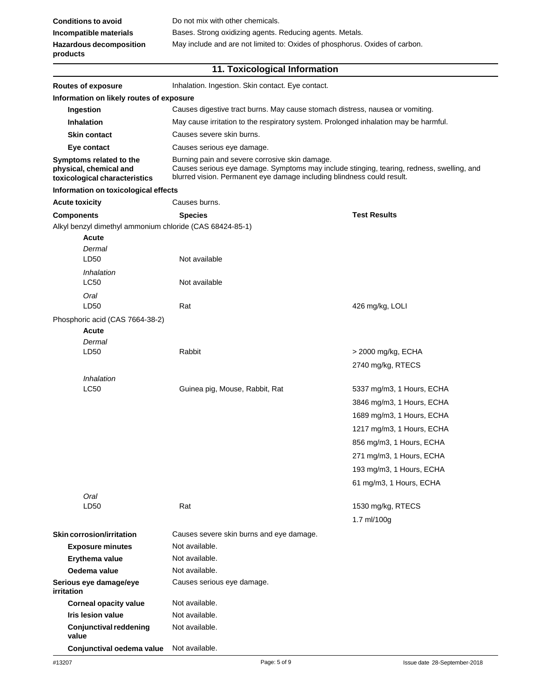# **11. Toxicological Information**

| Inhalation. Ingestion. Skin contact. Eye contact.<br><b>Routes of exposure</b>             |                                                                                                                                                                                                                       |                                                                                                                                                                                                                                 |  |  |
|--------------------------------------------------------------------------------------------|-----------------------------------------------------------------------------------------------------------------------------------------------------------------------------------------------------------------------|---------------------------------------------------------------------------------------------------------------------------------------------------------------------------------------------------------------------------------|--|--|
| Information on likely routes of exposure                                                   |                                                                                                                                                                                                                       |                                                                                                                                                                                                                                 |  |  |
| Ingestion                                                                                  | Causes digestive tract burns. May cause stomach distress, nausea or vomiting.                                                                                                                                         |                                                                                                                                                                                                                                 |  |  |
| <b>Inhalation</b>                                                                          |                                                                                                                                                                                                                       | May cause irritation to the respiratory system. Prolonged inhalation may be harmful.                                                                                                                                            |  |  |
| <b>Skin contact</b>                                                                        | Causes severe skin burns.                                                                                                                                                                                             |                                                                                                                                                                                                                                 |  |  |
| Eye contact                                                                                | Causes serious eye damage.                                                                                                                                                                                            |                                                                                                                                                                                                                                 |  |  |
| Symptoms related to the<br>physical, chemical and<br>toxicological characteristics         | Burning pain and severe corrosive skin damage.<br>Causes serious eye damage. Symptoms may include stinging, tearing, redness, swelling, and<br>blurred vision. Permanent eye damage including blindness could result. |                                                                                                                                                                                                                                 |  |  |
| Information on toxicological effects                                                       |                                                                                                                                                                                                                       |                                                                                                                                                                                                                                 |  |  |
| <b>Acute toxicity</b>                                                                      | Causes burns.                                                                                                                                                                                                         |                                                                                                                                                                                                                                 |  |  |
| <b>Components</b>                                                                          | <b>Species</b>                                                                                                                                                                                                        | <b>Test Results</b>                                                                                                                                                                                                             |  |  |
| Alkyl benzyl dimethyl ammonium chloride (CAS 68424-85-1)<br><b>Acute</b><br>Dermal<br>LD50 | Not available                                                                                                                                                                                                         |                                                                                                                                                                                                                                 |  |  |
| Inhalation<br>LC50                                                                         | Not available                                                                                                                                                                                                         |                                                                                                                                                                                                                                 |  |  |
| Oral<br>LD50                                                                               | Rat                                                                                                                                                                                                                   | 426 mg/kg, LOLI                                                                                                                                                                                                                 |  |  |
| Phosphoric acid (CAS 7664-38-2)<br><b>Acute</b><br>Dermal<br>LD50                          | Rabbit                                                                                                                                                                                                                |                                                                                                                                                                                                                                 |  |  |
|                                                                                            |                                                                                                                                                                                                                       | > 2000 mg/kg, ECHA<br>2740 mg/kg, RTECS                                                                                                                                                                                         |  |  |
| Inhalation<br><b>LC50</b>                                                                  | Guinea pig, Mouse, Rabbit, Rat                                                                                                                                                                                        | 5337 mg/m3, 1 Hours, ECHA<br>3846 mg/m3, 1 Hours, ECHA<br>1689 mg/m3, 1 Hours, ECHA<br>1217 mg/m3, 1 Hours, ECHA<br>856 mg/m3, 1 Hours, ECHA<br>271 mg/m3, 1 Hours, ECHA<br>193 mg/m3, 1 Hours, ECHA<br>61 mg/m3, 1 Hours, ECHA |  |  |
| Oral<br>LD50                                                                               | Rat                                                                                                                                                                                                                   | 1530 mg/kg, RTECS<br>1.7 $ml/100g$                                                                                                                                                                                              |  |  |
| <b>Skin corrosion/irritation</b>                                                           | Causes severe skin burns and eye damage.                                                                                                                                                                              |                                                                                                                                                                                                                                 |  |  |
| <b>Exposure minutes</b>                                                                    | Not available.                                                                                                                                                                                                        |                                                                                                                                                                                                                                 |  |  |
| Erythema value                                                                             | Not available.                                                                                                                                                                                                        |                                                                                                                                                                                                                                 |  |  |
| Oedema value                                                                               | Not available.                                                                                                                                                                                                        |                                                                                                                                                                                                                                 |  |  |
| Serious eye damage/eye<br>irritation                                                       | Causes serious eye damage.                                                                                                                                                                                            |                                                                                                                                                                                                                                 |  |  |
| <b>Corneal opacity value</b>                                                               | Not available.                                                                                                                                                                                                        |                                                                                                                                                                                                                                 |  |  |
| <b>Iris lesion value</b>                                                                   | Not available.                                                                                                                                                                                                        |                                                                                                                                                                                                                                 |  |  |
| <b>Conjunctival reddening</b><br>value                                                     | Not available.                                                                                                                                                                                                        |                                                                                                                                                                                                                                 |  |  |
| Conjunctival oedema value                                                                  | Not available.                                                                                                                                                                                                        |                                                                                                                                                                                                                                 |  |  |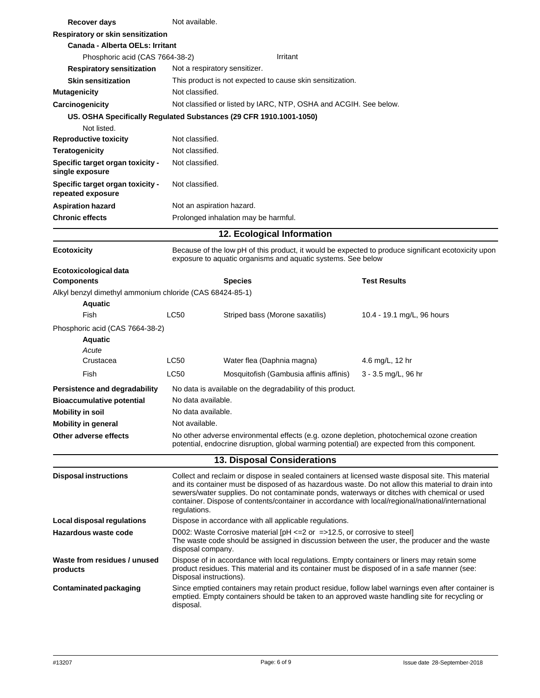| Recover days                                             | Not available.                                         |                                                                                                                                                                                                                                                                                                                                                                                                              |                                                                                                     |  |
|----------------------------------------------------------|--------------------------------------------------------|--------------------------------------------------------------------------------------------------------------------------------------------------------------------------------------------------------------------------------------------------------------------------------------------------------------------------------------------------------------------------------------------------------------|-----------------------------------------------------------------------------------------------------|--|
| Respiratory or skin sensitization                        |                                                        |                                                                                                                                                                                                                                                                                                                                                                                                              |                                                                                                     |  |
| <b>Canada - Alberta OELs: Irritant</b>                   |                                                        |                                                                                                                                                                                                                                                                                                                                                                                                              |                                                                                                     |  |
| Phosphoric acid (CAS 7664-38-2)                          |                                                        | Irritant                                                                                                                                                                                                                                                                                                                                                                                                     |                                                                                                     |  |
| <b>Respiratory sensitization</b>                         | Not a respiratory sensitizer.                          |                                                                                                                                                                                                                                                                                                                                                                                                              |                                                                                                     |  |
| <b>Skin sensitization</b>                                |                                                        | This product is not expected to cause skin sensitization.                                                                                                                                                                                                                                                                                                                                                    |                                                                                                     |  |
| <b>Mutagenicity</b>                                      | Not classified.                                        |                                                                                                                                                                                                                                                                                                                                                                                                              |                                                                                                     |  |
| Carcinogenicity                                          |                                                        | Not classified or listed by IARC, NTP, OSHA and ACGIH. See below.                                                                                                                                                                                                                                                                                                                                            |                                                                                                     |  |
|                                                          |                                                        | US. OSHA Specifically Regulated Substances (29 CFR 1910.1001-1050)                                                                                                                                                                                                                                                                                                                                           |                                                                                                     |  |
| Not listed.                                              |                                                        |                                                                                                                                                                                                                                                                                                                                                                                                              |                                                                                                     |  |
| <b>Reproductive toxicity</b>                             | Not classified.                                        |                                                                                                                                                                                                                                                                                                                                                                                                              |                                                                                                     |  |
| <b>Teratogenicity</b>                                    | Not classified.                                        |                                                                                                                                                                                                                                                                                                                                                                                                              |                                                                                                     |  |
| Specific target organ toxicity -<br>single exposure      | Not classified.                                        |                                                                                                                                                                                                                                                                                                                                                                                                              |                                                                                                     |  |
| Specific target organ toxicity -<br>repeated exposure    | Not classified.                                        |                                                                                                                                                                                                                                                                                                                                                                                                              |                                                                                                     |  |
| <b>Aspiration hazard</b>                                 | Not an aspiration hazard.                              |                                                                                                                                                                                                                                                                                                                                                                                                              |                                                                                                     |  |
| <b>Chronic effects</b>                                   |                                                        | Prolonged inhalation may be harmful.                                                                                                                                                                                                                                                                                                                                                                         |                                                                                                     |  |
|                                                          |                                                        | 12. Ecological Information                                                                                                                                                                                                                                                                                                                                                                                   |                                                                                                     |  |
|                                                          |                                                        |                                                                                                                                                                                                                                                                                                                                                                                                              |                                                                                                     |  |
| <b>Ecotoxicity</b>                                       |                                                        | exposure to aquatic organisms and aquatic systems. See below                                                                                                                                                                                                                                                                                                                                                 | Because of the low pH of this product, it would be expected to produce significant ecotoxicity upon |  |
| Ecotoxicological data                                    |                                                        |                                                                                                                                                                                                                                                                                                                                                                                                              |                                                                                                     |  |
| <b>Components</b>                                        |                                                        | <b>Species</b>                                                                                                                                                                                                                                                                                                                                                                                               | <b>Test Results</b>                                                                                 |  |
| Alkyl benzyl dimethyl ammonium chloride (CAS 68424-85-1) |                                                        |                                                                                                                                                                                                                                                                                                                                                                                                              |                                                                                                     |  |
| <b>Aquatic</b>                                           |                                                        |                                                                                                                                                                                                                                                                                                                                                                                                              |                                                                                                     |  |
| Fish                                                     | LC50                                                   | Striped bass (Morone saxatilis)                                                                                                                                                                                                                                                                                                                                                                              | 10.4 - 19.1 mg/L, 96 hours                                                                          |  |
| Phosphoric acid (CAS 7664-38-2)                          |                                                        |                                                                                                                                                                                                                                                                                                                                                                                                              |                                                                                                     |  |
| <b>Aquatic</b>                                           |                                                        |                                                                                                                                                                                                                                                                                                                                                                                                              |                                                                                                     |  |
| Acute<br>Crustacea                                       | LC50                                                   | Water flea (Daphnia magna)                                                                                                                                                                                                                                                                                                                                                                                   | 4.6 mg/L, 12 hr                                                                                     |  |
|                                                          |                                                        |                                                                                                                                                                                                                                                                                                                                                                                                              |                                                                                                     |  |
| Fish                                                     | <b>LC50</b>                                            | Mosquitofish (Gambusia affinis affinis)                                                                                                                                                                                                                                                                                                                                                                      | 3 - 3.5 mg/L, 96 hr                                                                                 |  |
| Persistence and degradability                            |                                                        | No data is available on the degradability of this product.                                                                                                                                                                                                                                                                                                                                                   |                                                                                                     |  |
| <b>Bioaccumulative potential</b>                         | No data available.                                     |                                                                                                                                                                                                                                                                                                                                                                                                              |                                                                                                     |  |
| <b>Mobility in soil</b>                                  | No data available.                                     |                                                                                                                                                                                                                                                                                                                                                                                                              |                                                                                                     |  |
| <b>Mobility in general</b>                               | Not available.                                         |                                                                                                                                                                                                                                                                                                                                                                                                              |                                                                                                     |  |
| Other adverse effects                                    |                                                        | No other adverse environmental effects (e.g. ozone depletion, photochemical ozone creation<br>potential, endocrine disruption, global warming potential) are expected from this component.                                                                                                                                                                                                                   |                                                                                                     |  |
|                                                          |                                                        | 13. Disposal Considerations                                                                                                                                                                                                                                                                                                                                                                                  |                                                                                                     |  |
| <b>Disposal instructions</b>                             | regulations.                                           | Collect and reclaim or dispose in sealed containers at licensed waste disposal site. This material<br>and its container must be disposed of as hazardous waste. Do not allow this material to drain into<br>sewers/water supplies. Do not contaminate ponds, waterways or ditches with chemical or used<br>container. Dispose of contents/container in accordance with local/regional/national/international |                                                                                                     |  |
| Local disposal regulations                               | Dispose in accordance with all applicable regulations. |                                                                                                                                                                                                                                                                                                                                                                                                              |                                                                                                     |  |
| Hazardous waste code                                     |                                                        | D002: Waste Corrosive material $[PH \le 2$ or =>12.5, or corrosive to steel]<br>The waste code should be assigned in discussion between the user, the producer and the waste<br>disposal company.                                                                                                                                                                                                            |                                                                                                     |  |
| Waste from residues / unused<br>products                 |                                                        | Dispose of in accordance with local regulations. Empty containers or liners may retain some<br>product residues. This material and its container must be disposed of in a safe manner (see:<br>Disposal instructions).                                                                                                                                                                                       |                                                                                                     |  |
| <b>Contaminated packaging</b>                            | disposal.                                              | emptied. Empty containers should be taken to an approved waste handling site for recycling or                                                                                                                                                                                                                                                                                                                | Since emptied containers may retain product residue, follow label warnings even after container is  |  |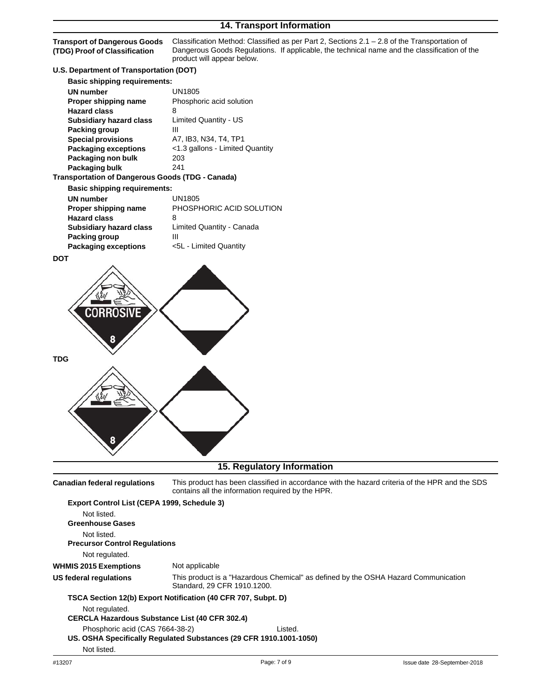**Transport of Dangerous Goods (TDG) Proof of Classification**

Classification Method: Classified as per Part 2, Sections 2.1 – 2.8 of the Transportation of Dangerous Goods Regulations. If applicable, the technical name and the classification of the product will appear below.

# **U.S. Department of Transportation (DOT)**

| <b>Basic shipping requirements:</b>              |                                 |
|--------------------------------------------------|---------------------------------|
| <b>UN</b> number                                 | UN1805                          |
| Proper shipping name                             | Phosphoric acid solution        |
| <b>Hazard class</b>                              | 8                               |
| <b>Subsidiary hazard class</b>                   | Limited Quantity - US           |
| Packing group                                    | Ш                               |
| <b>Special provisions</b>                        | A7, IB3, N34, T4, TP1           |
| <b>Packaging exceptions</b>                      | <1.3 gallons - Limited Quantity |
| Packaging non bulk                               | 203                             |
| Packaging bulk                                   | 241                             |
| Transportation of Dangerous Goods (TDG - Canada) |                                 |
| <b>Basic shipping requirements:</b>              |                                 |
| <b>UN</b> number                                 | UN1805                          |
| Proper shipping name                             | PHOSPHORIC ACID SOLUTION        |
| <b>Hazard class</b>                              | 8                               |
| <b>Subsidiary hazard class</b>                   | Limited Quantity - Canada       |
| Packing group                                    | Ш                               |
| <b>Packaging exceptions</b>                      | <5L - Limited Quantity          |

**DOT**



## **15. Regulatory Information**

**Canadian federal regulations** This product has been classified in accordance with the hazard criteria of the HPR and the SDS contains all the information required by the HPR.

| Export Control List (CEPA 1999, Schedule 3)                        |                             |         |                                                                                    |
|--------------------------------------------------------------------|-----------------------------|---------|------------------------------------------------------------------------------------|
| Not listed.<br><b>Greenhouse Gases</b>                             |                             |         |                                                                                    |
| Not listed.                                                        |                             |         |                                                                                    |
| <b>Precursor Control Regulations</b>                               |                             |         |                                                                                    |
| Not regulated.                                                     |                             |         |                                                                                    |
| <b>WHMIS 2015 Exemptions</b>                                       | Not applicable              |         |                                                                                    |
| US federal regulations                                             | Standard, 29 CFR 1910.1200. |         | This product is a "Hazardous Chemical" as defined by the OSHA Hazard Communication |
| TSCA Section 12(b) Export Notification (40 CFR 707, Subpt. D)      |                             |         |                                                                                    |
| Not regulated.                                                     |                             |         |                                                                                    |
| <b>CERCLA Hazardous Substance List (40 CFR 302.4)</b>              |                             |         |                                                                                    |
| Phosphoric acid (CAS 7664-38-2)                                    |                             | Listed. |                                                                                    |
| US. OSHA Specifically Regulated Substances (29 CFR 1910.1001-1050) |                             |         |                                                                                    |
| Not listed.                                                        |                             |         |                                                                                    |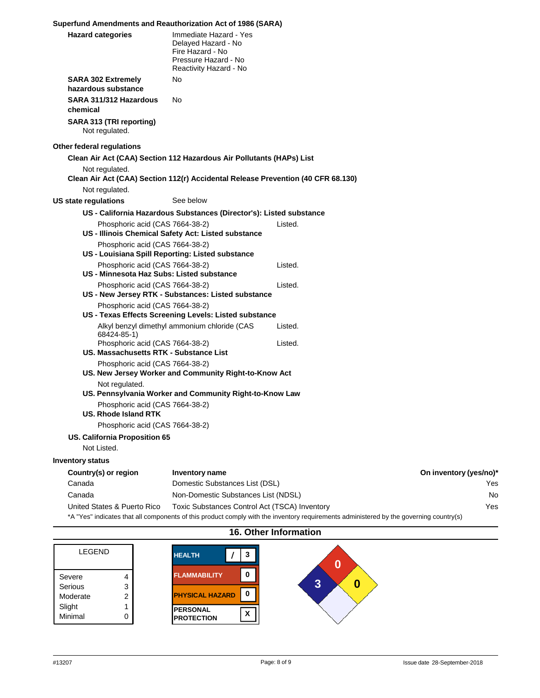### **Superfund Amendments and Reauthorization Act of 1986 (SARA)**

| <b>Hazard categories</b>                                                         | Immediate Hazard - Yes<br>Delayed Hazard - No<br>Fire Hazard - No<br>Pressure Hazard - No<br>Reactivity Hazard - No |         |                        |
|----------------------------------------------------------------------------------|---------------------------------------------------------------------------------------------------------------------|---------|------------------------|
| <b>SARA 302 Extremely</b><br>hazardous substance                                 | No                                                                                                                  |         |                        |
| SARA 311/312 Hazardous<br>chemical                                               | No                                                                                                                  |         |                        |
| SARA 313 (TRI reporting)<br>Not regulated.                                       |                                                                                                                     |         |                        |
| Other federal regulations                                                        |                                                                                                                     |         |                        |
| Clean Air Act (CAA) Section 112 Hazardous Air Pollutants (HAPs) List             |                                                                                                                     |         |                        |
| Not regulated.                                                                   |                                                                                                                     |         |                        |
| Clean Air Act (CAA) Section 112(r) Accidental Release Prevention (40 CFR 68.130) |                                                                                                                     |         |                        |
| Not regulated.                                                                   |                                                                                                                     |         |                        |
| <b>US state regulations</b>                                                      | See below                                                                                                           |         |                        |
|                                                                                  | US - California Hazardous Substances (Director's): Listed substance                                                 |         |                        |
| Phosphoric acid (CAS 7664-38-2)                                                  | US - Illinois Chemical Safety Act: Listed substance                                                                 | Listed. |                        |
| Phosphoric acid (CAS 7664-38-2)                                                  |                                                                                                                     |         |                        |
|                                                                                  | US - Louisiana Spill Reporting: Listed substance                                                                    |         |                        |
| Phosphoric acid (CAS 7664-38-2)<br>US - Minnesota Haz Subs: Listed substance     |                                                                                                                     | Listed. |                        |
|                                                                                  |                                                                                                                     | Listed. |                        |
| Phosphoric acid (CAS 7664-38-2)                                                  | US - New Jersey RTK - Substances: Listed substance                                                                  |         |                        |
| Phosphoric acid (CAS 7664-38-2)                                                  |                                                                                                                     |         |                        |
|                                                                                  | US - Texas Effects Screening Levels: Listed substance                                                               |         |                        |
| 68424-85-1)                                                                      | Alkyl benzyl dimethyl ammonium chloride (CAS                                                                        | Listed. |                        |
| Phosphoric acid (CAS 7664-38-2)                                                  |                                                                                                                     | Listed. |                        |
| US. Massachusetts RTK - Substance List                                           |                                                                                                                     |         |                        |
| Phosphoric acid (CAS 7664-38-2)                                                  |                                                                                                                     |         |                        |
|                                                                                  | US. New Jersey Worker and Community Right-to-Know Act                                                               |         |                        |
| Not regulated.                                                                   | US. Pennsylvania Worker and Community Right-to-Know Law                                                             |         |                        |
| Phosphoric acid (CAS 7664-38-2)                                                  |                                                                                                                     |         |                        |
| US. Rhode Island RTK                                                             |                                                                                                                     |         |                        |
| Phosphoric acid (CAS 7664-38-2)                                                  |                                                                                                                     |         |                        |
| US. California Proposition 65                                                    |                                                                                                                     |         |                        |
| Not Listed.                                                                      |                                                                                                                     |         |                        |
| <b>Inventory status</b>                                                          |                                                                                                                     |         |                        |
| Country(s) or region                                                             | Inventory name                                                                                                      |         | On inventory (yes/no)* |
| Canada                                                                           | Domestic Substances List (DSL)                                                                                      |         | Yes                    |
| Canada                                                                           | Non-Domestic Substances List (NDSL)                                                                                 |         | No                     |
| United States & Puerto Rico                                                      | Toxic Substances Control Act (TSCA) Inventory                                                                       |         | Yes                    |
|                                                                                  |                                                                                                                     |         |                        |

\*A "Yes" indicates that all components of this product comply with the inventory requirements administered by the governing country(s)

**HEALTH / 3 0 FLAMMABILITY 0 3 0 PHYSICAL HAZARD 0 PERSONAL PERSONAL**<br>**PROTECTION** LEGEND Severe 4 Serious 3 Moderate 2 Slight 1 Minimal 0

### **16. Other Information**